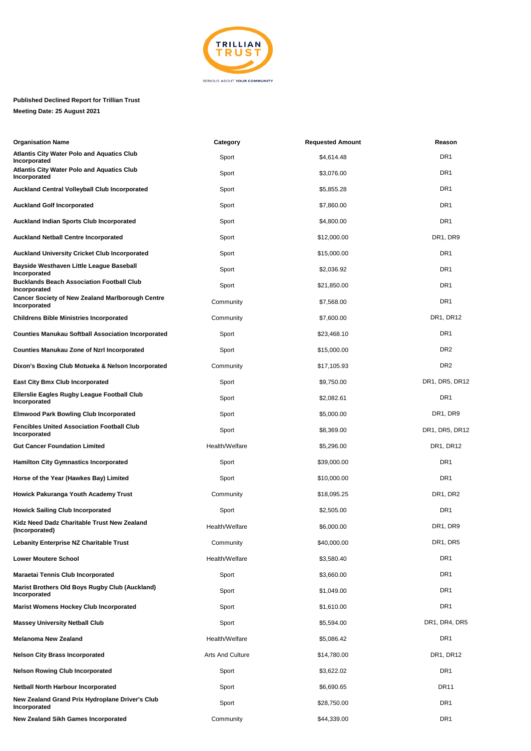

## **Published Declined Report for Trillian Trust**

**Meeting Date: 25 August 2021**

| <b>Organisation Name</b>                                                | Category                | <b>Requested Amount</b> | Reason          |
|-------------------------------------------------------------------------|-------------------------|-------------------------|-----------------|
| <b>Atlantis City Water Polo and Aquatics Club</b><br>Incorporated       | Sport                   | \$4,614.48              | DR <sub>1</sub> |
| <b>Atlantis City Water Polo and Aquatics Club</b><br>Incorporated       | Sport                   | \$3,076.00              | DR1             |
| Auckland Central Volleyball Club Incorporated                           | Sport                   | \$5,855.28              | DR <sub>1</sub> |
| <b>Auckland Golf Incorporated</b>                                       | Sport                   | \$7,860.00              | DR1             |
| <b>Auckland Indian Sports Club Incorporated</b>                         | Sport                   | \$4,800.00              | DR <sub>1</sub> |
| <b>Auckland Netball Centre Incorporated</b>                             | Sport                   | \$12,000.00             | DR1, DR9        |
| Auckland University Cricket Club Incorporated                           | Sport                   | \$15,000.00             | DR <sub>1</sub> |
| Bayside Westhaven Little League Baseball<br>Incorporated                | Sport                   | \$2,036.92              | DR1             |
| <b>Bucklands Beach Association Football Club</b><br>Incorporated        | Sport                   | \$21,850.00             | DR1             |
| <b>Cancer Society of New Zealand Marlborough Centre</b><br>Incorporated | Community               | \$7,568.00              | DR1             |
| <b>Childrens Bible Ministries Incorporated</b>                          | Community               | \$7,600.00              | DR1, DR12       |
| <b>Counties Manukau Softball Association Incorporated</b>               | Sport                   | \$23,468.10             | DR1             |
| <b>Counties Manukau Zone of Nzrl Incorporated</b>                       | Sport                   | \$15,000.00             | DR <sub>2</sub> |
| Dixon's Boxing Club Motueka & Nelson Incorporated                       | Community               | \$17,105.93             | DR <sub>2</sub> |
| <b>East City Bmx Club Incorporated</b>                                  | Sport                   | \$9,750.00              | DR1, DR5, DR12  |
| Ellerslie Eagles Rugby League Football Club<br>Incorporated             | Sport                   | \$2,082.61              | DR <sub>1</sub> |
| <b>Elmwood Park Bowling Club Incorporated</b>                           | Sport                   | \$5,000.00              | DR1, DR9        |
| <b>Fencibles United Association Football Club</b><br>Incorporated       | Sport                   | \$8,369.00              | DR1, DR5, DR12  |
| <b>Gut Cancer Foundation Limited</b>                                    | Health/Welfare          | \$5,296.00              | DR1, DR12       |
| <b>Hamilton City Gymnastics Incorporated</b>                            | Sport                   | \$39,000.00             | DR1             |
| Horse of the Year (Hawkes Bay) Limited                                  | Sport                   | \$10,000.00             | DR1             |
| Howick Pakuranga Youth Academy Trust                                    | Community               | \$18,095.25             | DR1, DR2        |
| <b>Howick Sailing Club Incorporated</b>                                 | Sport                   | \$2,505.00              | DR <sub>1</sub> |
| Kidz Need Dadz Charitable Trust New Zealand<br>(Incorporated)           | Health/Welfare          | \$6,000.00              | DR1, DR9        |
| Lebanity Enterprise NZ Charitable Trust                                 | Community               | \$40,000.00             | DR1, DR5        |
| <b>Lower Moutere School</b>                                             | Health/Welfare          | \$3,580.40              | DR1             |
| Maraetai Tennis Club Incorporated                                       | Sport                   | \$3,660.00              | DR1             |
| Marist Brothers Old Boys Rugby Club (Auckland)<br>Incorporated          | Sport                   | \$1,049.00              | DR1             |
| <b>Marist Womens Hockey Club Incorporated</b>                           | Sport                   | \$1,610.00              | DR1             |
| <b>Massey University Netball Club</b>                                   | Sport                   | \$5,594.00              | DR1, DR4, DR5   |
| <b>Melanoma New Zealand</b>                                             | Health/Welfare          | \$5,086.42              | DR <sub>1</sub> |
| <b>Nelson City Brass Incorporated</b>                                   | <b>Arts And Culture</b> | \$14,780.00             | DR1, DR12       |
| <b>Nelson Rowing Club Incorporated</b>                                  | Sport                   | \$3,622.02              | DR1             |
| <b>Netball North Harbour Incorporated</b>                               | Sport                   | \$6,690.65              | <b>DR11</b>     |
| New Zealand Grand Prix Hydroplane Driver's Club<br>Incorporated         | Sport                   | \$28,750.00             | DR1             |
| <b>New Zealand Sikh Games Incorporated</b>                              | Community               | \$44,339.00             | DR1             |